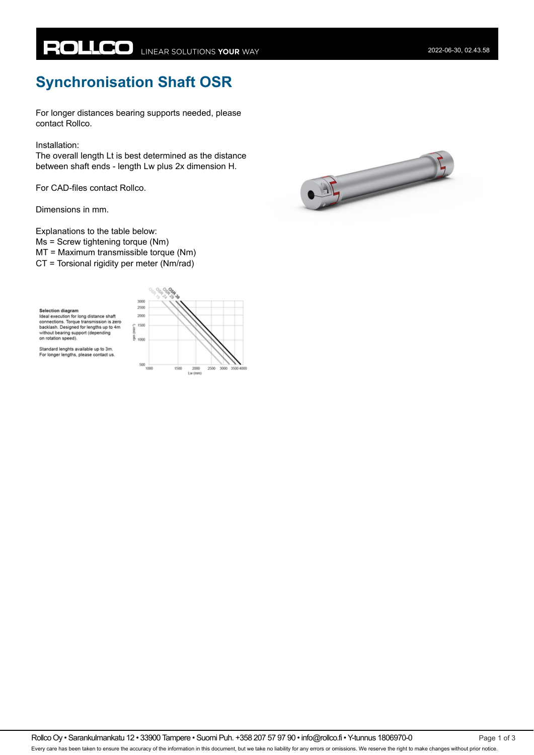## **Synchronisation Shaft OSR**

For longer distances bearing supports needed, please contact Rollco.

Installation:

The overall length Lt is best determined as the distance between shaft ends - length Lw plus 2x dimension H.

For CAD-files contact Rollco.

Dimensions in mm.

Explanations to the table below: Ms = Screw tightening torque (Nm) MT = Maximum transmissible torque (Nm) CT = Torsional rigidity per meter (Nm/rad)

**Selection diagram** John Brecution for long distance shaft<br>connections. Torque transmission is zero<br>backlash. Designed for lengths up to 4m without bearing support (depending on rotation speed).





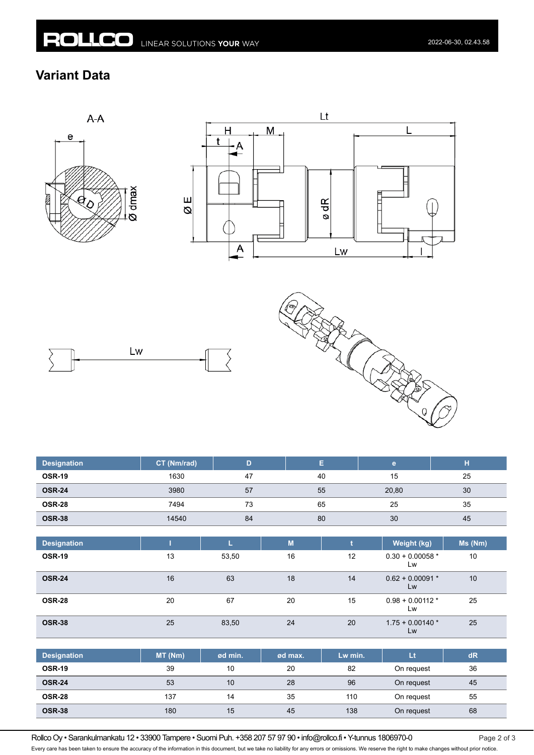## **Variant Data**









| <b>Designation</b> | CT (Nm/rad) | D     |    | E. |    | $\mathbf{e}$             | н             |
|--------------------|-------------|-------|----|----|----|--------------------------|---------------|
| <b>OSR-19</b>      | 1630        | 47    |    | 40 |    | 15                       | 25            |
| <b>OSR-24</b>      | 3980        | 57    |    | 55 |    | 20,80                    | 30            |
| <b>OSR-28</b>      | 7494        | 73    |    | 65 |    | 25                       | 35            |
| <b>OSR-38</b>      | 14540       | 84    |    | 80 |    | 30                       | 45            |
|                    |             |       |    |    |    |                          |               |
| <b>Designation</b> |             | L     | M  |    |    | Weight (kg)              | $Ms$ ( $Nm$ ) |
| <b>OSR-19</b>      | 13          | 53,50 | 16 |    | 12 | $0.30 + 0.00058$ *<br>Lw | 10            |
| <b>OSR-24</b>      | 16          | 63    | 18 |    | 14 | $0.62 + 0.00091$ *<br>Lw | 10            |
| <b>OSR-28</b>      | 20          | 67    | 20 |    | 15 | $0.98 + 0.00112$ *<br>Lw | 25            |
| <b>OSR-38</b>      | 25          | 83,50 | 24 |    | 20 | $1.75 + 0.00140*$<br>Lw  | 25            |

| <b>Designation</b> | MT(Nm) | ød min. | ød max. | Lw min. | Lt         | dR |
|--------------------|--------|---------|---------|---------|------------|----|
| <b>OSR-19</b>      | 39     | 10      | 20      | 82      | On request | 36 |
| <b>OSR-24</b>      | 53     | 10      | 28      | 96      | On request | 45 |
| <b>OSR-28</b>      | 137    | 14      | 35      | 110     | On request | 55 |
| <b>OSR-38</b>      | 180    | 15      | 45      | 138     | On request | 68 |

Rollco Oy • Sarankulmankatu 12 • 33900 Tampere • Suomi Puh. +358 207 57 97 90 • info@rollco.fi • Y-tunnus 1806970-0 Page 2 of 3

Every care has been taken to ensure the accuracy of the information in this document, but we take no liability for any errors or omissions. We reserve the right to make changes without prior notice.